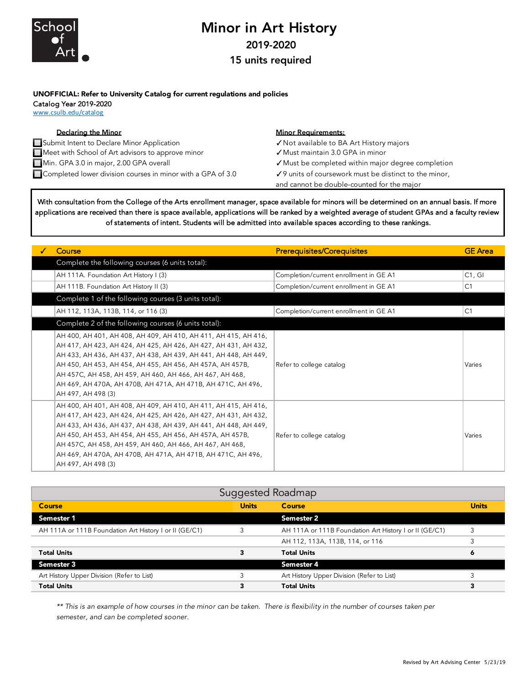

## Minor in Art History 2019-2020

15 units required

## UNOFFICIAL: Refer to University Catalog for current regulations and policies

Catalog Year 2019-2020

www.csulb.edu/catalog

| <b>Declaring the Minor</b>                                    | <b>Minor Requirements:</b>                            |
|---------------------------------------------------------------|-------------------------------------------------------|
| Submit Intent to Declare Minor Application                    | √ Not available to BA Art History majors              |
| Meet with School of Art advisors to approve minor             | ✔ Must maintain 3.0 GPA in minor                      |
| Min. GPA 3.0 in major, 2.00 GPA overall                       | ✔ Must be completed within major degree completion    |
| ■ Completed lower division courses in minor with a GPA of 3.0 | √9 units of coursework must be distinct to the minor, |
|                                                               | and cannot be double-counted for the major            |

With consultation from the College of the Arts enrollment manager, space available for minors will be determined on an annual basis. If more applications are received than there is space available, applications will be ranked by a weighted average of student GPAs and a faculty review of statements of intent. Students will be admitted into available spaces according to these rankings.

| Course                                                                                                                                                                                                                                                                                                                                                                                                               | <b>Prerequisites/Corequisites</b>      | <b>GE</b> Area |
|----------------------------------------------------------------------------------------------------------------------------------------------------------------------------------------------------------------------------------------------------------------------------------------------------------------------------------------------------------------------------------------------------------------------|----------------------------------------|----------------|
| Complete the following courses (6 units total):                                                                                                                                                                                                                                                                                                                                                                      |                                        |                |
| AH 111A. Foundation Art History I (3)                                                                                                                                                                                                                                                                                                                                                                                | Completion/current enrollment in GE A1 | C1, G1         |
| AH 111B. Foundation Art History II (3)                                                                                                                                                                                                                                                                                                                                                                               | Completion/current enrollment in GE A1 | C <sub>1</sub> |
| Complete 1 of the following courses (3 units total):                                                                                                                                                                                                                                                                                                                                                                 |                                        |                |
| AH 112, 113A, 113B, 114, or 116 (3)                                                                                                                                                                                                                                                                                                                                                                                  | Completion/current enrollment in GE A1 | C <sub>1</sub> |
| Complete 2 of the following courses (6 units total):                                                                                                                                                                                                                                                                                                                                                                 |                                        |                |
| AH 400, AH 401, AH 408, AH 409, AH 410, AH 411, AH 415, AH 416,<br>AH 417, AH 423, AH 424, AH 425, AH 426, AH 427, AH 431, AH 432,<br>AH 433, AH 436, AH 437, AH 438, AH 439, AH 441, AH 448, AH 449,<br>AH 450, AH 453, AH 454, AH 455, AH 456, AH 457A, AH 457B,<br>AH 457C, AH 458, AH 459, AH 460, AH 466, AH 467, AH 468,<br>AH 469, AH 470A, AH 470B, AH 471A, AH 471B, AH 471C, AH 496,<br>AH 497, AH 498 (3) | Refer to college catalog               | Varies         |
| AH 400, AH 401, AH 408, AH 409, AH 410, AH 411, AH 415, AH 416,<br>AH 417, AH 423, AH 424, AH 425, AH 426, AH 427, AH 431, AH 432,<br>AH 433, AH 436, AH 437, AH 438, AH 439, AH 441, AH 448, AH 449,<br>AH 450, AH 453, AH 454, AH 455, AH 456, AH 457A, AH 457B,<br>AH 457C, AH 458, AH 459, AH 460, AH 466, AH 467, AH 468,<br>AH 469, AH 470A, AH 470B, AH 471A, AH 471B, AH 471C, AH 496,<br>AH 497, AH 498 (3) | Refer to college catalog               | Varies         |

| <b>Suggested Roadmap</b>                               |              |                                                        |              |  |
|--------------------------------------------------------|--------------|--------------------------------------------------------|--------------|--|
| Course                                                 | <b>Units</b> | Course                                                 | <b>Units</b> |  |
| Semester 1                                             |              | <b>Semester 2</b>                                      |              |  |
| AH 111A or 111B Foundation Art History I or II (GE/C1) | 3            | AH 111A or 111B Foundation Art History I or II (GE/C1) |              |  |
|                                                        |              | AH 112, 113A, 113B, 114, or 116                        | 3            |  |
| <b>Total Units</b>                                     |              | <b>Total Units</b>                                     | 6            |  |
| Semester 3                                             |              | Semester 4                                             |              |  |
| Art History Upper Division (Refer to List)             |              | Art History Upper Division (Refer to List)             |              |  |
| <b>Total Units</b>                                     | 3            | <b>Total Units</b>                                     | 3            |  |

*\*\* This is an example of how courses in the minor can be taken. There is flexibility in the number of courses taken per semester, and can be completed sooner.*